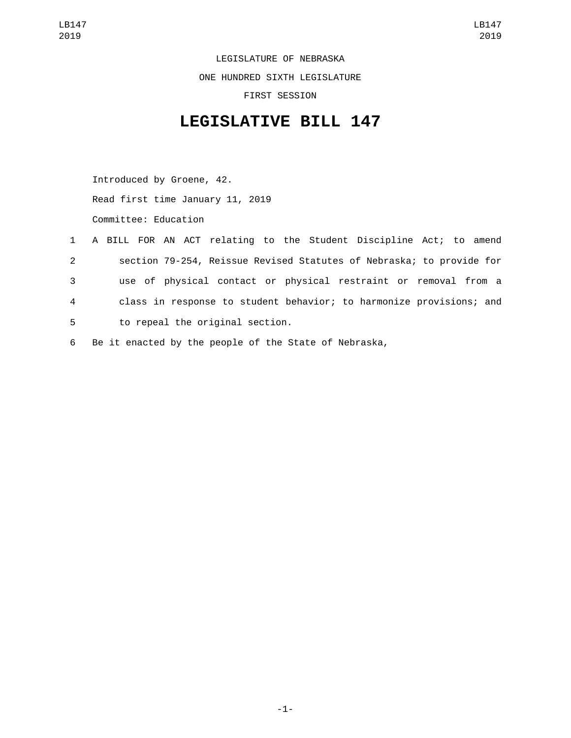LEGISLATURE OF NEBRASKA ONE HUNDRED SIXTH LEGISLATURE FIRST SESSION

## **LEGISLATIVE BILL 147**

Introduced by Groene, 42. Read first time January 11, 2019 Committee: Education

|              |  |  | 1 A BILL FOR AN ACT relating to the Student Discipline Act; to amend |  |  |  |  |  |
|--------------|--|--|----------------------------------------------------------------------|--|--|--|--|--|
| $\mathbf{2}$ |  |  | section 79-254, Reissue Revised Statutes of Nebraska; to provide for |  |  |  |  |  |
| 3            |  |  | use of physical contact or physical restraint or removal from a      |  |  |  |  |  |
| 4            |  |  | class in response to student behavior; to harmonize provisions; and  |  |  |  |  |  |
| 5            |  |  | to repeal the original section.                                      |  |  |  |  |  |
|              |  |  |                                                                      |  |  |  |  |  |

6 Be it enacted by the people of the State of Nebraska,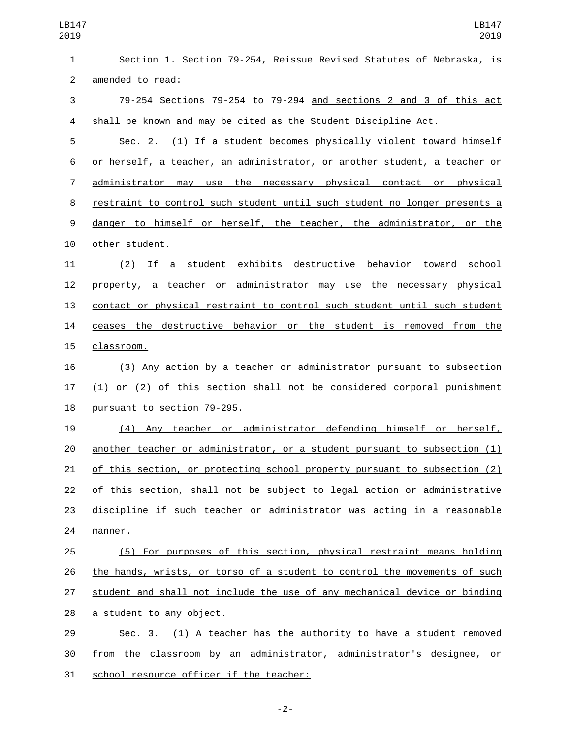Section 1. Section 79-254, Reissue Revised Statutes of Nebraska, is 2 amended to read: 79-254 Sections 79-254 to 79-294 and sections 2 and 3 of this act shall be known and may be cited as the Student Discipline Act. Sec. 2. (1) If a student becomes physically violent toward himself or herself, a teacher, an administrator, or another student, a teacher or administrator may use the necessary physical contact or physical restraint to control such student until such student no longer presents a danger to himself or herself, the teacher, the administrator, or the 10 other student. (2) If a student exhibits destructive behavior toward school property, a teacher or administrator may use the necessary physical contact or physical restraint to control such student until such student ceases the destructive behavior or the student is removed from the 15 classroom. (3) Any action by a teacher or administrator pursuant to subsection (1) or (2) of this section shall not be considered corporal punishment 18 pursuant to section 79-295. (4) Any teacher or administrator defending himself or herself, another teacher or administrator, or a student pursuant to subsection (1) of this section, or protecting school property pursuant to subsection (2) of this section, shall not be subject to legal action or administrative discipline if such teacher or administrator was acting in a reasonable 24 manner. (5) For purposes of this section, physical restraint means holding the hands, wrists, or torso of a student to control the movements of such student and shall not include the use of any mechanical device or binding 28 a student to any object. 29 Sec. 3. (1) A teacher has the authority to have a student removed from the classroom by an administrator, administrator's designee, or 31 school resource officer if the teacher:

-2-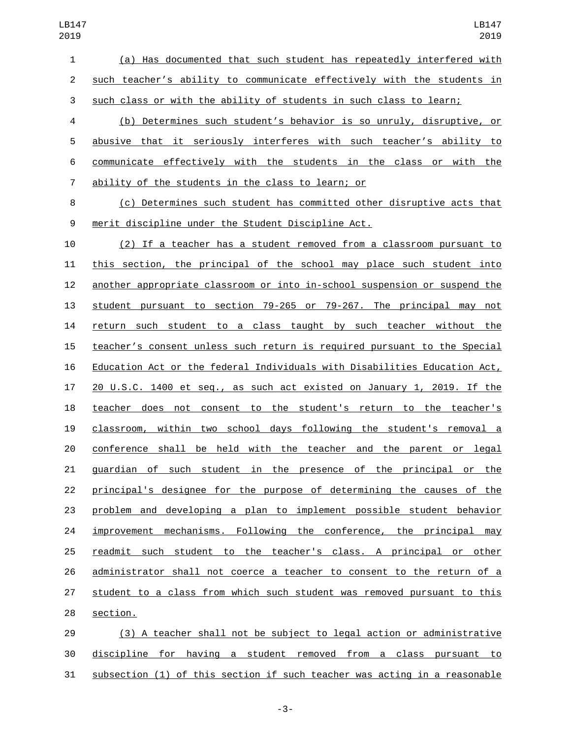(a) Has documented that such student has repeatedly interfered with such teacher's ability to communicate effectively with the students in such class or with the ability of students in such class to learn;

 (b) Determines such student's behavior is so unruly, disruptive, or abusive that it seriously interferes with such teacher's ability to communicate effectively with the students in the class or with the ability of the students in the class to learn; or7

 (c) Determines such student has committed other disruptive acts that merit discipline under the Student Discipline Act.9

 (2) If a teacher has a student removed from a classroom pursuant to this section, the principal of the school may place such student into another appropriate classroom or into in-school suspension or suspend the student pursuant to section 79-265 or 79-267. The principal may not return such student to a class taught by such teacher without the teacher's consent unless such return is required pursuant to the Special Education Act or the federal Individuals with Disabilities Education Act, 20 U.S.C. 1400 et seq., as such act existed on January 1, 2019. If the teacher does not consent to the student's return to the teacher's classroom, within two school days following the student's removal a conference shall be held with the teacher and the parent or legal guardian of such student in the presence of the principal or the principal's designee for the purpose of determining the causes of the problem and developing a plan to implement possible student behavior improvement mechanisms. Following the conference, the principal may readmit such student to the teacher's class. A principal or other administrator shall not coerce a teacher to consent to the return of a student to a class from which such student was removed pursuant to this 28 section.

 (3) A teacher shall not be subject to legal action or administrative discipline for having a student removed from a class pursuant to subsection (1) of this section if such teacher was acting in a reasonable